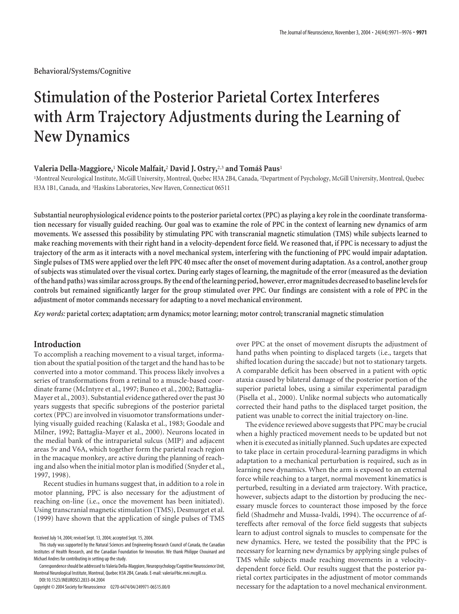**Behavioral/Systems/Cognitive**

# **Stimulation of the Posterior Parietal Cortex Interferes with Arm Trajectory Adjustments during the Learning of New Dynamics**

## **Valeria Della-Maggiore,<sup>1</sup> Nicole Malfait,<sup>2</sup> David J. Ostry,<sup>2,3</sup> and Tomáš Paus<sup>1</sup>**

<sup>1</sup>Montreal Neurological Institute, McGill University, Montreal, Quebec H3A 2B4, Canada, <sup>2</sup>Department of Psychology, McGill University, Montreal, Quebec H3A 1B1, Canada, and <sup>3</sup>Haskins Laboratories, New Haven, Connecticut 06511

**Substantial neurophysiological evidence points to the posterior parietal cortex (PPC) as playing a key role in the coordinate transformation necessary for visually guided reaching. Our goal was to examine the role of PPC in the context of learning new dynamics of arm movements. We assessed this possibility by stimulating PPC with transcranial magnetic stimulation (TMS) while subjects learned to make reaching movements with their right hand in a velocity-dependent force field. We reasoned that, if PPC is necessary to adjust the trajectory of the arm as it interacts with a novel mechanical system, interfering with the functioning of PPC would impair adaptation. Single pulses of TMS were applied over the left PPC 40 msec after the onset of movement during adaptation. As a control, another group of subjects was stimulated over the visual cortex. During early stages of learning, the magnitude of the error (measured as the deviation ofthe hand paths) was similar across groups. Bythe end ofthe learning period, however, error magnitudes decreasedto baseline levelsfor controls but remained significantly larger for the group stimulated over PPC. Our findings are consistent with a role of PPC in the adjustment of motor commands necessary for adapting to a novel mechanical environment.**

*Key words:* **parietal cortex; adaptation; arm dynamics; motor learning; motor control; transcranial magnetic stimulation**

## **Introduction**

To accomplish a reaching movement to a visual target, information about the spatial position of the target and the hand has to be converted into a motor command. This process likely involves a series of transformations from a retinal to a muscle-based coordinate frame (McIntyre et al., 1997; Buneo et al., 2002; Battaglia-Mayer et al., 2003). Substantial evidence gathered over the past 30 years suggests that specific subregions of the posterior parietal cortex (PPC) are involved in visuomotor transformations underlying visually guided reaching (Kalaska et al., 1983; Goodale and Milner, 1992; Battaglia-Mayer et al., 2000). Neurons located in the medial bank of the intraparietal sulcus (MIP) and adjacent areas 5v and V6A, which together form the parietal reach region in the macaque monkey, are active during the planning of reaching and also when the initial motor plan is modified (Snyder et al., 1997, 1998).

Recent studies in humans suggest that, in addition to a role in motor planning, PPC is also necessary for the adjustment of reaching on-line (i.e., once the movement has been initiated). Using transcranial magnetic stimulation (TMS), Desmurget et al. (1999) have shown that the application of single pulses of TMS

over PPC at the onset of movement disrupts the adjustment of hand paths when pointing to displaced targets (i.e., targets that shifted location during the saccade) but not to stationary targets. A comparable deficit has been observed in a patient with optic ataxia caused by bilateral damage of the posterior portion of the superior parietal lobes, using a similar experimental paradigm (Pisella et al., 2000). Unlike normal subjects who automatically corrected their hand paths to the displaced target position, the patient was unable to correct the initial trajectory on-line.

The evidence reviewed above suggests that PPC may be crucial when a highly practiced movement needs to be updated but not when it is executed as initially planned. Such updates are expected to take place in certain procedural-learning paradigms in which adaptation to a mechanical perturbation is required, such as in learning new dynamics. When the arm is exposed to an external force while reaching to a target, normal movement kinematics is perturbed, resulting in a deviated arm trajectory. With practice, however, subjects adapt to the distortion by producing the necessary muscle forces to counteract those imposed by the force field (Shadmehr and Mussa-Ivaldi, 1994). The occurrence of aftereffects after removal of the force field suggests that subjects learn to adjust control signals to muscles to compensate for the new dynamics. Here, we tested the possibility that the PPC is necessary for learning new dynamics by applying single pulses of TMS while subjects made reaching movements in a velocitydependent force field. Our results suggest that the posterior parietal cortex participates in the adjustment of motor commands necessary for the adaptation to a novel mechanical environment.

Received July 14, 2004; revised Sept. 13, 2004; accepted Sept. 15, 2004.

This study was supported by the Natural Sciences and Engineering Research Council of Canada, the Canadian Institutes of Health Research, and the Canadian Foundation for Innovation. We thank Philippe Chouinard and Michael Andres for contributing in setting up the study.

Correspondence should be addressed to Valeria Della-Maggiore, Neuropsychology/Cognitive Neuroscience Unit, Montreal Neurological Institute, Montreal, Quebec H3A 2B4, Canada. E-mail: valeria@bic.mni.mcgill.ca. DOI:10.1523/JNEUROSCI.2833-04.2004

Copyright © 2004 Society for Neuroscience 0270-6474/04/249971-06\$15.00/0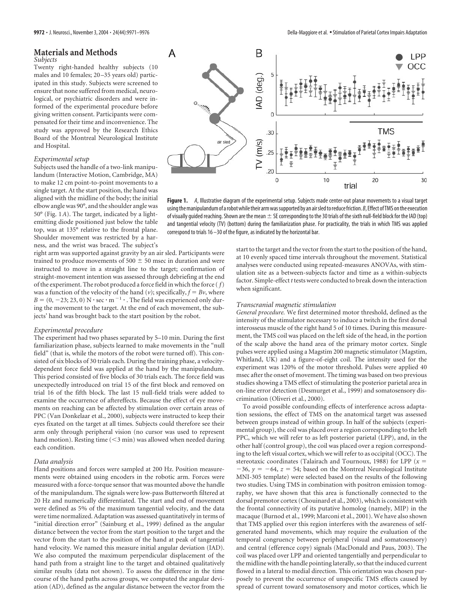#### **Materials and Methods** *Subjects*

Twenty right-handed healthy subjects (10 males and 10 females; 20 –35 years old) participated in this study. Subjects were screened to ensure that none suffered from medical, neurological, or psychiatric disorders and were informed of the experimental procedure before giving written consent. Participants were compensated for their time and inconvenience. The study was approved by the Research Ethics Board of the Montreal Neurological Institute and Hospital.

#### *Experimental setup*

Subjects used the handle of a two-link manipulandum (Interactive Motion, Cambridge, MA) to make 12 cm point-to-point movements to a single target. At the start position, the hand was aligned with the midline of the body; the initial elbow angle was 90°, and the shoulder angle was 50° (Fig. 1*A*). The target, indicated by a lightemitting diode positioned just below the table top, was at 135° relative to the frontal plane. Shoulder movement was restricted by a harness, and the wrist was braced. The subject's

right arm was supported against gravity by an air sled. Participants were trained to produce movements of 500  $\pm$  50 msec in duration and were instructed to move in a straight line to the target; confirmation of straight-movement intention was assessed through debriefing at the end of the experiment. The robot produced a force field in which the force ( *f*) was a function of the velocity of the hand  $(v)$ ; specifically,  $f = Bv$ , where  $B = (0, -23, 23, 0)$  N  $\cdot$  sec  $\cdot$  m<sup>-1</sup>  $\cdot$  . The field was experienced only during the movement to the target. At the end of each movement, the subjects' hand was brought back to the start position by the robot.

#### *Experimental procedure*

The experiment had two phases separated by 5–10 min. During the first familiarization phase, subjects learned to make movements in the "null field" (that is, while the motors of the robot were turned off). This consisted of six blocks of 30 trials each. During the training phase, a velocitydependent force field was applied at the hand by the manipulandum. This period consisted of five blocks of 30 trials each. The force field was unexpectedly introduced on trial 15 of the first block and removed on trial 16 of the fifth block. The last 15 null-field trials were added to examine the occurrence of aftereffects. Because the effect of eye movements on reaching can be affected by stimulation over certain areas of PPC (Van Donkelaar et al., 2000), subjects were instructed to keep their eyes fixated on the target at all times. Subjects could therefore see their arm only through peripheral vision (no cursor was used to represent hand motion). Resting time  $(<$ 3 min) was allowed when needed during each condition.

#### *Data analysis*

Hand positions and forces were sampled at 200 Hz. Position measurements were obtained using encoders in the robotic arm. Forces were measured with a force-torque sensor that was mounted above the handle of the manipulandum. The signals were low-pass Butterworth filtered at 20 Hz and numerically differentiated. The start and end of movement were defined as 5% of the maximum tangential velocity, and the data were time normalized. Adaptation was assessed quantitatively in terms of "initial direction error" (Sainburg et al., 1999) defined as the angular distance between the vector from the start position to the target and the vector from the start to the position of the hand at peak of tangential hand velocity. We named this measure initial angular deviation (IAD). We also computed the maximum perpendicular displacement of the hand path from a straight line to the target and obtained qualitatively similar results (data not shown). To assess the difference in the time course of the hand paths across groups, we computed the angular deviation (AD), defined as the angular distance between the vector from the



**Figure 1.** *A*, Illustrative diagram of the experimental setup. Subjects made center-out planar movements to a visual target using the manipulandum of a robot while their arm was supported by an air sled to reduce friction. *B*, Effect of TMS on the execution of visually guided reaching. Shown are the mean  $\pm$  SE corresponding to the 30 trials of the sixth null-field block for the IAD (top) and tangential velocity (TV) (bottom) during the familiarization phase. For practicality, the trials in which TMS was applied correspond to trials 16 –30 of the figure, as indicated by the horizontal bar.

start to the target and the vector from the start to the position of the hand, at 10 evenly spaced time intervals throughout the movement. Statistical analyses were conducted using repeated-measures ANOVAs, with stimulation site as a between-subjects factor and time as a within-subjects factor. Simple-effect *t* tests were conducted to break down the interaction when significant.

#### *Transcranial magnetic stimulation*

*General procedure.* We first determined motor threshold, defined as the intensity of the stimulator necessary to induce a twitch in the first dorsal interosseus muscle of the right hand 5 of 10 times. During this measurement, the TMS coil was placed on the left side of the head, in the portion of the scalp above the hand area of the primary motor cortex. Single pulses were applied using a Magstim 200 magnetic stimulator (Magstim, Whitland, UK) and a figure-of-eight coil. The intensity used for the experiment was 120% of the motor threshold. Pulses were applied 40 msec after the onset of movement. The timing was based on two previous studies showing a TMS effect of stimulating the posterior parietal area in on-line error detection (Desmurget et al., 1999) and somatosensory discrimination (Oliveri et al., 2000).

To avoid possible confounding effects of interference across adaptation sessions, the effect of TMS on the anatomical target was assessed between groups instead of within group. In half of the subjects (experimental group), the coil was placed over a region corresponding to the left PPC, which we will refer to as left posterior parietal (LPP), and, in the other half (control group), the coil was placed over a region corresponding to the left visual cortex, which we will refer to as occipital (OCC). The stereotaxic coordinates (Talairach and Tournoux, 1988) for LPP  $(x =$  $-36$ ,  $y = -64$ ,  $z = 54$ ; based on the Montreal Neurological Institute MNI-305 template) were selected based on the results of the following two studies. Using TMS in combination with positron emission tomography, we have shown that this area is functionally connected to the dorsal premotor cortex (Chouinard et al., 2003), which is consistent with the frontal connectivity of its putative homolog (namely, MIP) in the macaque (Burnod et al., 1999; Marconi et al., 2001). We have also shown that TMS applied over this region interferes with the awareness of selfgenerated hand movements, which may require the evaluation of the temporal congruency between peripheral (visual and somatosensory) and central (efference copy) signals (MacDonald and Paus, 2003). The coil was placed over LPP and oriented tangentially and perpendicular to the midline with the handle pointing laterally, so that the induced current flowed in a lateral to medial direction. This orientation was chosen purposely to prevent the occurrence of unspecific TMS effects caused by spread of current toward somatosensory and motor cortices, which lie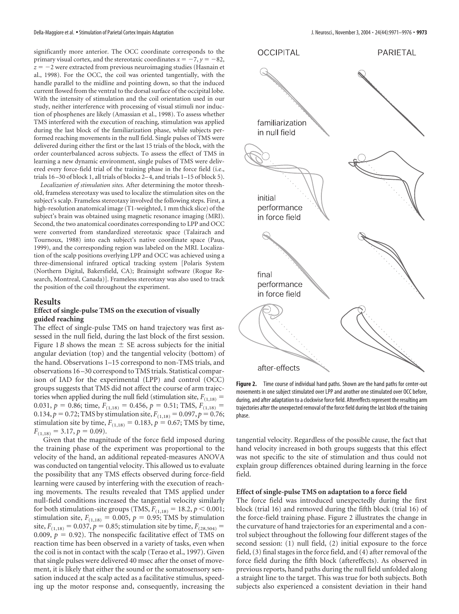significantly more anterior. The OCC coordinate corresponds to the primary visual cortex, and the stereotaxic coordinates  $x = -7$ ,  $y = -82$ ,  $z = -2$  were extracted from previous neuroimaging studies (Hasnain et al., 1998). For the OCC, the coil was oriented tangentially, with the handle parallel to the midline and pointing down, so that the induced current flowed from the ventral to the dorsal surface of the occipital lobe. With the intensity of stimulation and the coil orientation used in our study, neither interference with processing of visual stimuli nor induction of phosphenes are likely (Amassian et al., 1998). To assess whether TMS interfered with the execution of reaching, stimulation was applied during the last block of the familiarization phase, while subjects performed reaching movements in the null field. Single pulses of TMS were delivered during either the first or the last 15 trials of the block, with the order counterbalanced across subjects. To assess the effect of TMS in learning a new dynamic environment, single pulses of TMS were delivered every force-field trial of the training phase in the force field (i.e., trials 16 –30 of block 1, all trials of blocks 2– 4, and trials 1–15 of block 5).

*Localization of stimulation sites.* After determining the motor threshold, frameless stereotaxy was used to localize the stimulation sites on the subject's scalp. Frameless stereotaxy involved the following steps. First, a high-resolution anatomical image (T1-weighted, 1 mm thick slice) of the subject's brain was obtained using magnetic resonance imaging (MRI). Second, the two anatomical coordinates corresponding to LPP and OCC were converted from standardized stereotaxic space (Talairach and Tournoux, 1988) into each subject's native coordinate space (Paus, 1999), and the corresponding region was labeled on the MRI. Localization of the scalp positions overlying LPP and OCC was achieved using a three-dimensional infrared optical tracking system [Polaris System (Northern Digital, Bakersfield, CA); Brainsight software (Rogue Research, Montreal, Canada)]. Frameless stereotaxy was also used to track the position of the coil throughout the experiment.

## **Results**

## **Effect of single-pulse TMS on the execution of visually guided reaching**

The effect of single-pulse TMS on hand trajectory was first assessed in the null field, during the last block of the first session. Figure 1*B* shows the mean  $\pm$  SE across subjects for the initial angular deviation (top) and the tangential velocity (bottom) of the hand. Observations 1–15 correspond to non-TMS trials, and observations 16 –30 correspond to TMS trials. Statistical comparison of IAD for the experimental (LPP) and control (OCC) groups suggests that TMS did not affect the course of arm trajectories when applied during the null field (stimulation site,  $F_{(1,18)} =$ 0.031,  $p = 0.86$ ; time,  $F_{(1,18)} = 0.456$ ,  $p = 0.51$ ; TMS,  $F_{(1,18)} =$ 0.134,  $p = 0.72$ ; TMS by stimulation site,  $F_{(1,18)} = 0.097$ ,  $p = 0.76$ ; stimulation site by time,  $F_{(1,18)} = 0.183$ ,  $p = 0.67$ ; TMS by time,  $F_{(1,18)} = 3.17, p = 0.09$ .

Given that the magnitude of the force field imposed during the training phase of the experiment was proportional to the velocity of the hand, an additional repeated-measures ANOVA was conducted on tangential velocity. This allowed us to evaluate the possibility that any TMS effects observed during force-field learning were caused by interfering with the execution of reaching movements. The results revealed that TMS applied under null-field conditions increased the tangential velocity similarly for both stimulation-site groups (TMS,  $F_{(1,18)} = 18.2, p \le 0.001;$ stimulation site,  $F_{(1,18)} = 0.005$ ,  $p = 0.95$ ; TMS by stimulation site,  $F_{(1,18)} = 0.037$ ,  $p = 0.85$ ; stimulation site by time,  $F_{(28,504)} =$ 0.009,  $p = 0.92$ ). The nonspecific facilitative effect of TMS on reaction time has been observed in a variety of tasks, even when the coil is not in contact with the scalp (Terao et al., 1997). Given that single pulses were delivered 40 msec after the onset of movement, it is likely that either the sound or the somatosensory sensation induced at the scalp acted as a facilitative stimulus, speeding up the motor response and, consequently, increasing the



**Figure 2.** Time course of individual hand paths. Shown are the hand paths for center-out movements in one subject stimulated over LPP and another one stimulated over OCC before, during, and after adaptation to a clockwise force field. Aftereffects represent the resulting arm trajectories after the unexpected removal of the force field during the last block of the training phase.

tangential velocity. Regardless of the possible cause, the fact that hand velocity increased in both groups suggests that this effect was not specific to the site of stimulation and thus could not explain group differences obtained during learning in the force field.

### **Effect of single-pulse TMS on adaptation to a force field**

The force field was introduced unexpectedly during the first block (trial 16) and removed during the fifth block (trial 16) of the force-field training phase. Figure 2 illustrates the change in the curvature of hand trajectories for an experimental and a control subject throughout the following four different stages of the second session: (1) null field, (2) initial exposure to the force field, (3) final stages in the force field, and (4) after removal of the force field during the fifth block (aftereffects). As observed in previous reports, hand paths during the null field unfolded along a straight line to the target. This was true for both subjects. Both subjects also experienced a consistent deviation in their hand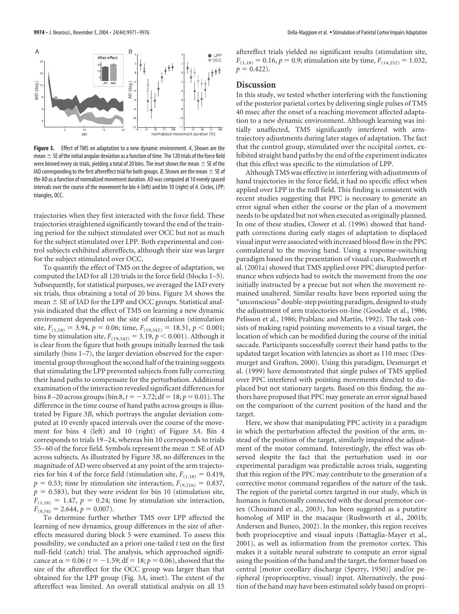

**Figure 3.** Effect of TMS on adaptation to a new dynamic environment. *A*, Shown are the mean  $\pm$  SE of the initial angular deviation as a function of time. The 120 trials of the force field were binned every six trials, yielding a total of 20 bins. The inset shows the mean  $\pm$  SE of the IAD corresponding to the first aftereffect trial for both groups. *B*, Shown are the mean  $\pm$  SE of the AD as a function of normalized movement duration. AD was computed at 10 evenly spaced intervals over the course of the movement for bin 4 (left) and bin 10 (right) of *A*. Circles, LPP; triangles, OCC.

trajectories when they first interacted with the force field. These trajectories straightened significantly toward the end of the training period for the subject stimulated over OCC but not as much for the subject stimulated over LPP. Both experimental and control subjects exhibited aftereffects, although their size was larger for the subject stimulated over OCC.

To quantify the effect of TMS on the degree of adaptation, we computed the IAD for all 120 trials in the force field (blocks 1–5). Subsequently, for statistical purposes, we averaged the IAD every six trials, thus obtaining a total of 20 bins. Figure 3*A* shows the mean  $\pm$  SE of IAD for the LPP and OCC groups. Statistical analysis indicated that the effect of TMS on learning a new dynamic environment depended on the site of stimulation (stimulation site,  $F_{(1,18)} = 3.94$ ,  $p = 0.06$ ; time,  $F_{(19,342)} = 18.31$ ,  $p < 0.001$ ; time by stimulation site,  $F_{(19,342)} = 3.19, p < 0.001$ ). Although it is clear from the figure that both groups initially learned the task similarly (bins 1–7), the larger deviation observed for the experimental group throughout the second half of the training suggests that stimulating the LPP prevented subjects from fully correcting their hand paths to compensate for the perturbation. Additional examination of the interaction revealed significant differences for  $\frac{1}{2}$  bins 8–20 across groups ( $\frac{1}{2}$  bin 8,  $t = -3.72$ ; df = 18;  $p = 0.01$ ). The difference in the time course of hand paths across groups is illustrated by Figure 3*B*, which portrays the angular deviation computed at 10 evenly spaced intervals over the course of the movement for bins 4 (left) and 10 (right) of Figure 3*A*. Bin 4 corresponds to trials 19 –24, whereas bin 10 corresponds to trials 55–60 of the force field. Symbols represent the mean  $\pm$  SE of AD across subjects. As illustrated by Figure 3*B*, no differences in the magnitude of AD were observed at any point of the arm trajectories for bin 4 of the force field (stimulation site,  $F_{(1,18)} = 0.419$ ,  $p = 0.53$ ; time by stimulation site interaction,  $F_{(9,216)} = 0.837$ ,  $p = 0.583$ ), but they were evident for bin 10 (stimulation site,  $F_{(1,18)} = 1.47$ ,  $p = 0.24$ ; time by stimulation site interaction,  $F_{(9,74)} = 2.644, p = 0.007$ .

To determine further whether TMS over LPP affected the learning of new dynamics, group differences in the size of aftereffects measured during block 5 were examined. To assess this possibility, we conducted an a priori one-tailed *t* test on the first null-field (catch) trial. The analysis, which approached significance at  $\alpha = 0.06$  ( $t = -1.59$ ; df = 18;  $p = 0.06$ ), showed that the size of the aftereffect for the OCC group was larger than that obtained for the LPP group (Fig. 3*A*, inset). The extent of the aftereffect was limited. An overall statistical analysis on all 15

aftereffect trials yielded no significant results (stimulation site,  $F_{(1,18)} = 0.16, p = 0.9$ ; stimulation site by time,  $F_{(14,252)} = 1.032$ ,  $p = 0.422$ .

## **Discussion**

In this study, we tested whether interfering with the functioning of the posterior parietal cortex by delivering single pulses of TMS 40 msec after the onset of a reaching movement affected adaptation to a new dynamic environment. Although learning was initially unaffected, TMS significantly interfered with armtrajectory adjustments during later stages of adaptation. The fact that the control group, stimulated over the occipital cortex, exhibited straight hand paths by the end of the experiment indicates that this effect was specific to the stimulation of LPP.

Although TMS was effective in interfering with adjustments of hand trajectories in the force field, it had no specific effect when applied over LPP in the null field. This finding is consistent with recent studies suggesting that PPC is necessary to generate an error signal when either the course or the plan of a movement needs to be updated but not when executed as originally planned. In one of these studies, Clower et al. (1996) showed that handpath corrections during early stages of adaptation to displaced visual input were associated with increased blood flow in the PPC contralateral to the moving hand. Using a response-switching paradigm based on the presentation of visual cues, Rushworth et al. (2001a) showed that TMS applied over PPC disrupted performance when subjects had to switch the movement from the one initially instructed by a precue but not when the movement remained unaltered. Similar results have been reported using the "unconscious" double-step pointing paradigm, designed to study the adjustment of arm trajectories on-line (Goodale et al., 1986; Pelisson et al., 1986; Prablanc and Martin, 1992). The task consists of making rapid pointing movements to a visual target, the location of which can be modified during the course of the initial saccade. Participants successfully correct their hand paths to the updated target location with latencies as short as 110 msec (Desmurget and Grafton, 2000). Using this paradigm, Desmurget et al. (1999) have demonstrated that single pulses of TMS applied over PPC interfered with pointing movements directed to displaced but not stationary targets. Based on this finding, the authors have proposed that PPC may generate an error signal based on the comparison of the current position of the hand and the target.

Here, we show that manipulating PPC activity in a paradigm in which the perturbation affected the position of the arm, instead of the position of the target, similarly impaired the adjustment of the motor command. Interestingly, the effect was observed despite the fact that the perturbation used in our experimental paradigm was predictable across trials, suggesting that this region of the PPC may contribute to the generation of a corrective motor command regardless of the nature of the task. The region of the parietal cortex targeted in our study, which in humans is functionally connected with the dorsal premotor cortex (Chouinard et al., 2003), has been suggested as a putative homolog of MIP in the macaque (Rushworth et al., 2001b; Andersen and Buneo, 2002). In the monkey, this region receives both proprioceptive and visual inputs (Battaglia-Mayer et al., 2001), as well as information from the premotor cortex. This makes it a suitable neural substrate to compute an error signal using the position of the hand and the target, the former based on central [motor corollary discharge (Sperry, 1950)] and/or peripheral (proprioceptive, visual) input. Alternatively, the position of the hand may have been estimated solely based on propri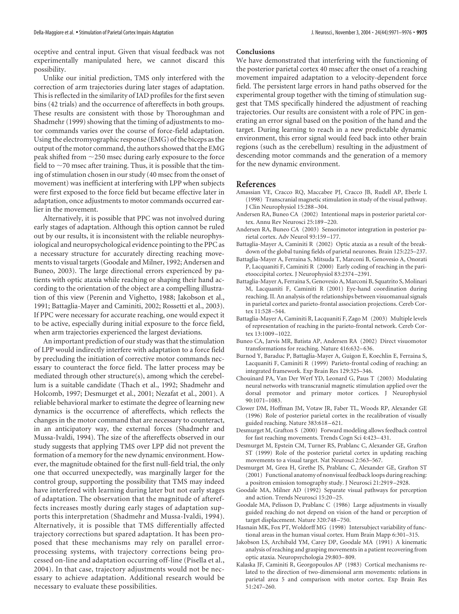oceptive and central input. Given that visual feedback was not experimentally manipulated here, we cannot discard this possibility.

Unlike our initial prediction, TMS only interfered with the correction of arm trajectories during later stages of adaptation. This is reflected in the similarity of IAD profiles for the first seven bins (42 trials) and the occurrence of aftereffects in both groups. These results are consistent with those by Thoroughman and Shadmehr (1999) showing that the timing of adjustments to motor commands varies over the course of force-field adaptation. Using the electromyographic response (EMG) of the biceps as the output of the motor command, the authors showed that the EMG peak shifted from  $\sim$ 250 msec during early exposure to the force field to  $\sim$  70 msec after training. Thus, it is possible that the timing of stimulation chosen in our study (40 msec from the onset of movement) was inefficient at interfering with LPP when subjects were first exposed to the force field but became effective later in adaptation, once adjustments to motor commands occurred earlier in the movement.

Alternatively, it is possible that PPC was not involved during early stages of adaptation. Although this option cannot be ruled out by our results, it is inconsistent with the reliable neurophysiological and neuropsychological evidence pointing to the PPC as a necessary structure for accurately directing reaching movements to visual targets (Goodale and Milner, 1992; Andersen and Buneo, 2003). The large directional errors experienced by patients with optic ataxia while reaching or shaping their hand according to the orientation of the object are a compelling illustration of this view (Perenin and Vighetto, 1988; Jakobson et al., 1991; Battaglia-Mayer and Caminiti, 2002; Rossetti et al., 2003). If PPC were necessary for accurate reaching, one would expect it to be active, especially during initial exposure to the force field, when arm trajectories experienced the largest deviations.

An important prediction of our study was that the stimulation of LPP would indirectly interfere with adaptation to a force field by precluding the initiation of corrective motor commands necessary to counteract the force field. The latter process may be mediated through other structure(s), among which the cerebellum is a suitable candidate (Thach et al., 1992; Shadmehr and Holcomb, 1997; Desmurget et al., 2001; Nezafat et al., 2001). A reliable behavioral marker to estimate the degree of learning new dynamics is the occurrence of aftereffects, which reflects the changes in the motor command that are necessary to counteract, in an anticipatory way, the external forces (Shadmehr and Mussa-Ivaldi, 1994). The size of the aftereffects observed in our study suggests that applying TMS over LPP did not prevent the formation of a memory for the new dynamic environment. However, the magnitude obtained for the first null-field trial, the only one that occurred unexpectedly, was marginally larger for the control group, supporting the possibility that TMS may indeed have interfered with learning during later but not early stages of adaptation. The observation that the magnitude of aftereffects increases mostly during early stages of adaptation supports this interpretation (Shadmehr and Mussa-Ivaldi, 1994). Alternatively, it is possible that TMS differentially affected trajectory corrections but spared adaptation. It has been proposed that these mechanisms may rely on parallel errorprocessing systems, with trajectory corrections being processed on-line and adaptation occurring off-line (Pisella et al., 2004). In that case, trajectory adjustments would not be necessary to achieve adaptation. Additional research would be necessary to evaluate these possibilities.

#### **Conclusions**

We have demonstrated that interfering with the functioning of the posterior parietal cortex 40 msec after the onset of a reaching movement impaired adaptation to a velocity-dependent force field. The persistent large errors in hand paths observed for the experimental group together with the timing of stimulation suggest that TMS specifically hindered the adjustment of reaching trajectories. Our results are consistent with a role of PPC in generating an error signal based on the position of the hand and the target. During learning to reach in a new predictable dynamic environment, this error signal would feed back into other brain regions (such as the cerebellum) resulting in the adjustment of descending motor commands and the generation of a memory for the new dynamic environment.

## **References**

- Amassian VE, Cracco RQ, Maccabee PJ, Cracco JB, Rudell AP, Eberle L (1998) Transcranial magnetic stimulation in study of the visual pathway. J Clin Neurophysiol 15:288 –304.
- Andersen RA, Buneo CA (2002) Intentional maps in posterior parietal cortex. Annu Rev Neurosci 25:189 –220.
- Andersen RA, Buneo CA (2003) Sensorimotor integration in posterior parietal cortex. Adv Neurol 93:159 –177.
- Battaglia-Mayer A, Caminiti R (2002) Optic ataxia as a result of the breakdown of the global tuning fields of parietal neurones. Brain 125:225–237.
- Battaglia-Mayer A, Ferraina S, Mitsuda T, Marconi B, Genovesio A, Onorati P, Lacquaniti F, Caminiti R (2000) Early coding of reaching in the parietooccipital cortex. J Neurophysiol 83:2374 –2391.
- Battaglia-Mayer A, Ferraina S, Genovesio A, Marconi B, Squatrito S, Molinari M, Lacquaniti F, Caminiti R (2001) Eye-hand coordination during reaching. II. An analysis of the relationships between visuomanual signals in parietal cortex and parieto-frontal association projections. Cereb Cortex 11:528 –544.
- Battaglia-Mayer A, Caminiti R, Lacquaniti F, Zago M (2003) Multiple levels of representation of reaching in the parieto-frontal network. Cereb Cortex 13:1009 –1022.
- Buneo CA, Jarvis MR, Batista AP, Andersen RA (2002) Direct visuomotor transformations for reaching. Nature 416:632–636.
- Burnod Y, Baraduc P, Battaglia-Mayer A, Guigon E, Koechlin E, Ferraina S, Lacquaniti F, Caminiti R (1999) Parieto-frontal coding of reaching: an integrated framework. Exp Brain Res 129:325–346.
- Chouinard PA, Van Der Werf YD, Leonard G, Paus T (2003) Modulating neural networks with transcranial magnetic stimulation applied over the dorsal premotor and primary motor cortices. J Neurophysiol 90:1071–1083.
- Clower DM, Hoffman JM, Votaw JR, Faber TL, Woods RP, Alexander GE (1996) Role of posterior parietal cortex in the recalibration of visually guided reaching. Nature 383:618 –621.
- Desmurget M, Grafton S (2000) Forward modeling allows feedback control for fast reaching movements. Trends Cogn Sci 4:423–431.
- Desmurget M, Epstein CM, Turner RS, Prablanc C, Alexander GE, Grafton ST (1999) Role of the posterior parietal cortex in updating reaching movements to a visual target. Nat Neurosci 2:563–567.
- Desmurget M, Grea H, Grethe JS, Prablanc C, Alexander GE, Grafton ST (2001) Functional anatomy of nonvisual feedback loops during reaching: a positron emission tomography study. J Neurosci 21:2919 –2928.
- Goodale MA, Milner AD (1992) Separate visual pathways for perception and action. Trends Neurosci 15:20 –25.
- Goodale MA, Pelisson D, Prablanc C (1986) Large adjustments in visually guided reaching do not depend on vision of the hand or perception of target displacement. Nature 320:748 –750.
- Hasnain MK, Fox PT, Woldorff MG (1998) Intersubject variability of functional areas in the human visual cortex. Hum Brain Mapp 6:301–315.
- Jakobson LS, Archibald YM, Carey DP, Goodale MA (1991) A kinematic analysis of reaching and grasping movements in a patient recovering from optic ataxia. Neuropsychologia 29:803–809.
- Kalaska JF, Caminiti R, Georgopoulos AP (1983) Cortical mechanisms related to the direction of two-dimensional arm movements: relations in parietal area 5 and comparison with motor cortex. Exp Brain Res 51:247–260.